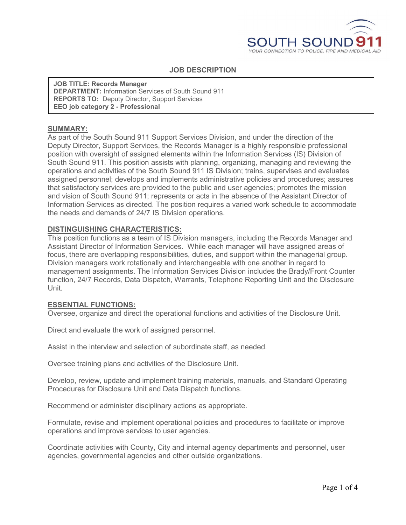

### **JOB DESCRIPTION**

**JOB TITLE: Records Manager DEPARTMENT:** Information Services of South Sound 911 **REPORTS TO:** Deputy Director, Support Services **EEO job category 2 - Professional**

#### **SUMMARY:**

As part of the South Sound 911 Support Services Division, and under the direction of the Deputy Director, Support Services, the Records Manager is a highly responsible professional position with oversight of assigned elements within the Information Services (IS) Division of South Sound 911. This position assists with planning, organizing, managing and reviewing the operations and activities of the South Sound 911 IS Division; trains, supervises and evaluates assigned personnel; develops and implements administrative policies and procedures; assures that satisfactory services are provided to the public and user agencies; promotes the mission and vision of South Sound 911; represents or acts in the absence of the Assistant Director of Information Services as directed. The position requires a varied work schedule to accommodate the needs and demands of 24/7 IS Division operations.

#### **DISTINGUISHING CHARACTERISTICS:**

This position functions as a team of IS Division managers, including the Records Manager and Assistant Director of Information Services. While each manager will have assigned areas of focus, there are overlapping responsibilities, duties, and support within the managerial group. Division managers work rotationally and interchangeable with one another in regard to management assignments. The Information Services Division includes the Brady/Front Counter function, 24/7 Records, Data Dispatch, Warrants, Telephone Reporting Unit and the Disclosure Unit.

#### **ESSENTIAL FUNCTIONS:**

Oversee, organize and direct the operational functions and activities of the Disclosure Unit.

Direct and evaluate the work of assigned personnel.

Assist in the interview and selection of subordinate staff, as needed.

Oversee training plans and activities of the Disclosure Unit.

Develop, review, update and implement training materials, manuals, and Standard Operating Procedures for Disclosure Unit and Data Dispatch functions.

Recommend or administer disciplinary actions as appropriate.

Formulate, revise and implement operational policies and procedures to facilitate or improve operations and improve services to user agencies.

Coordinate activities with County, City and internal agency departments and personnel, user agencies, governmental agencies and other outside organizations.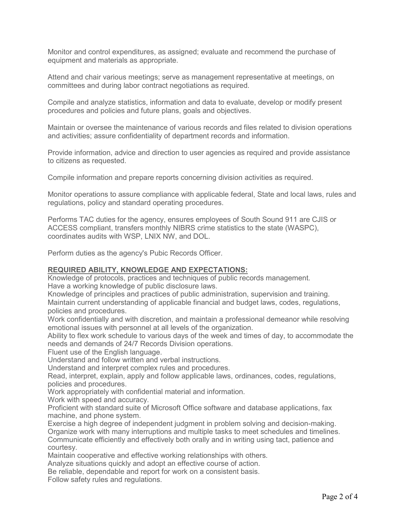Monitor and control expenditures, as assigned; evaluate and recommend the purchase of equipment and materials as appropriate.

Attend and chair various meetings; serve as management representative at meetings, on committees and during labor contract negotiations as required.

Compile and analyze statistics, information and data to evaluate, develop or modify present procedures and policies and future plans, goals and objectives.

Maintain or oversee the maintenance of various records and files related to division operations and activities; assure confidentiality of department records and information.

Provide information, advice and direction to user agencies as required and provide assistance to citizens as requested.

Compile information and prepare reports concerning division activities as required.

Monitor operations to assure compliance with applicable federal, State and local laws, rules and regulations, policy and standard operating procedures.

Performs TAC duties for the agency, ensures employees of South Sound 911 are CJIS or ACCESS compliant, transfers monthly NIBRS crime statistics to the state (WASPC), coordinates audits with WSP, LNIX NW, and DOL.

Perform duties as the agency's Pubic Records Officer.

#### **REQUIRED ABILITY, KNOWLEDGE AND EXPECTATIONS:**

Knowledge of protocols, practices and techniques of public records management. Have a working knowledge of public disclosure laws.

Knowledge of principles and practices of public administration, supervision and training. Maintain current understanding of applicable financial and budget laws, codes, regulations, policies and procedures.

Work confidentially and with discretion, and maintain a professional demeanor while resolving emotional issues with personnel at all levels of the organization.

Ability to flex work schedule to various days of the week and times of day, to accommodate the needs and demands of 24/7 Records Division operations.

Fluent use of the English language.

Understand and follow written and verbal instructions.

Understand and interpret complex rules and procedures.

Read, interpret, explain, apply and follow applicable laws, ordinances, codes, regulations, policies and procedures.

Work appropriately with confidential material and information.

Work with speed and accuracy.

Proficient with standard suite of Microsoft Office software and database applications, fax machine, and phone system.

Exercise a high degree of independent judgment in problem solving and decision-making. Organize work with many interruptions and multiple tasks to meet schedules and timelines. Communicate efficiently and effectively both orally and in writing using tact, patience and courtesy.

Maintain cooperative and effective working relationships with others.

Analyze situations quickly and adopt an effective course of action.

Be reliable, dependable and report for work on a consistent basis.

Follow safety rules and regulations.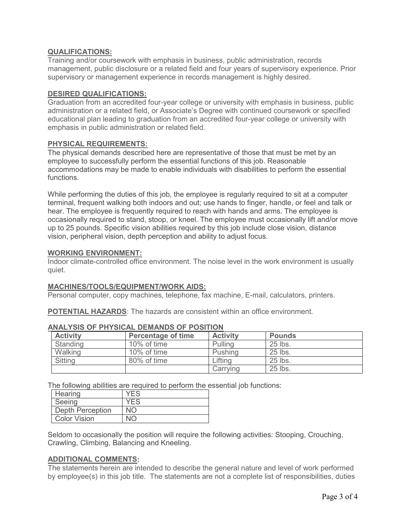# **QUALIFICATIONS:**

Training and/or coursework with emphasis in business, public administration, records management, public disclosure or a related field and four years of supervisory experience. Prior supervisory or management experience in records management is highly desired.

# **DESIRED QUALIFICATIONS:**

Graduation from an accredited four-year college or university with emphasis in business, public administration or a related field, or Associate's Degree with continued coursework or specified educational plan leading to graduation from an accredited four-year college or university with emphasis in public administration or related field.

#### **PHYSICAL REQUIREMENTS:**

The physical demands described here are representative of those that must be met by an employee to successfully perform the essential functions of this job. Reasonable accommodations may be made to enable individuals with disabilities to perform the essential functions.

While performing the duties of this job, the employee is regularly required to sit at a computer terminal, frequent walking both indoors and out; use hands to finger, handle, or feel and talk or hear. The employee is frequently required to reach with hands and arms. The employee is occasionally required to stand, stoop, or kneel. The employee must occasionally lift and/or move up to 25 pounds. Specific vision abilities required by this job include close vision, distance vision, peripheral vision, depth perception and ability to adjust focus.

#### **WORKING ENVIRONMENT:**

Indoor climate-controlled office environment. The noise level in the work environment is usually quiet.

# **MACHINES/TOOLS/EQUIPMENT/WORK AIDS:**

Personal computer, copy machines, telephone, fax machine, E-mail, calculators, printers.

**POTENTIAL HAZARDS**: The hazards are consistent within an office environment.

| <b>Activity</b> | <b>Percentage of time</b> | <b>Activity</b> | <b>Pounds</b> |
|-----------------|---------------------------|-----------------|---------------|
| Standing        | 10% of time               | Pulling         | 25 lbs.       |
| Walking         | 10% of time               | Pushing         | 25 lbs.       |
| Sitting         | 80% of time               | _ifting         | 25 lbs.       |
|                 |                           | Carrying        | 25 lbs.       |

# **ANALYSIS OF PHYSICAL DEMANDS OF POSITION**

The following abilities are required to perform the essential job functions:

| Hearing                 | <b>YFS</b> |
|-------------------------|------------|
| Seeing                  | <b>YFS</b> |
| <b>Depth Perception</b> | NΛ         |
| Color Vision            |            |

Seldom to occasionally the position will require the following activities: Stooping, Crouching, Crawling, Climbing, Balancing and Kneeling.

# **ADDITIONAL COMMENTS:**

The statements herein are intended to describe the general nature and level of work performed by employee(s) in this job title. The statements are not a complete list of responsibilities, duties